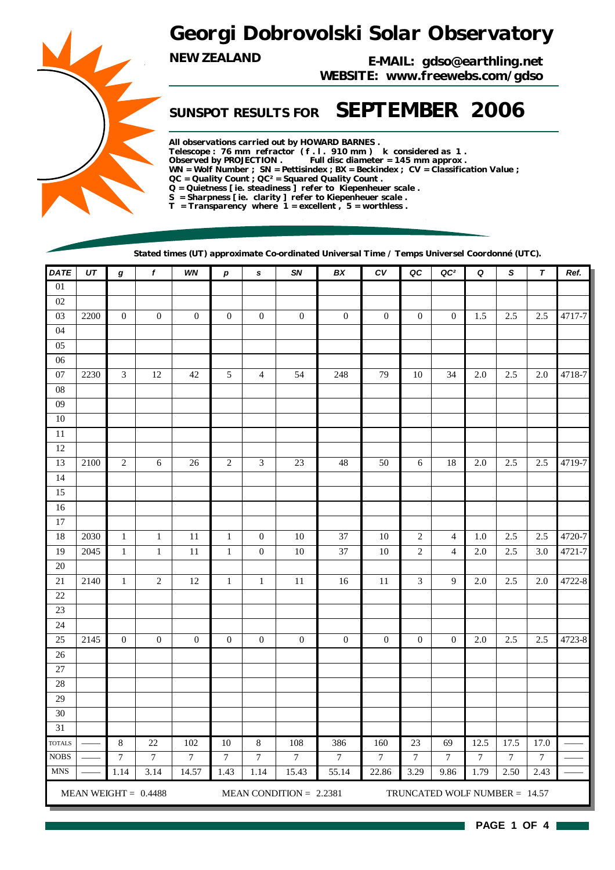## *Georgi Dobrovolski Solar Observatory*

*NEW ZEALAND E-MAIL: gdso@earthling.net WEBSITE: www.freewebs.com/gdso*

## *SUNSPOT RESULTS FOR SEPTEMBER 2006*

*All observations carried out by HOWARD BARNES . Telescope : 76 mm refractor ( f . l . 910 mm ) k considered as 1 . Observed by PROJECTION . Full disc diameter = 145 mm approx . WN = Wolf Number ; SN = Pettisindex ; BX = Beckindex ; CV = Classification Value ; QC = Quality Count ; QC² = Squared Quality Count . Q = Quietness [ ie. steadiness ] refer to Kiepenheuer scale . S = Sharpness [ ie. clarity ] refer to Kiepenheuer scale . T = Transparency where 1 = excellent , 5 = worthless .*

*Stated times (UT) approximate Co-ordinated Universal Time / Temps Universel Coordonné (UTC).*

| <b>DATE</b>     | $U\mathcal{T}$ | $\pmb{g}$        | $\overline{f}$         | WN               | $\boldsymbol{p}$ | $\mathbf s$      | SN                        | BX               | ${\cal C}{\cal V}$ | QC               | QC <sup>2</sup>               | Q                | $\boldsymbol{\mathsf{s}}$ | $\pmb{\tau}$     | Ref.   |
|-----------------|----------------|------------------|------------------------|------------------|------------------|------------------|---------------------------|------------------|--------------------|------------------|-------------------------------|------------------|---------------------------|------------------|--------|
| 01              |                |                  |                        |                  |                  |                  |                           |                  |                    |                  |                               |                  |                           |                  |        |
| $02\,$          |                |                  |                        |                  |                  |                  |                           |                  |                    |                  |                               |                  |                           |                  |        |
| 03              | 2200           | $\boldsymbol{0}$ | $\boldsymbol{0}$       | $\boldsymbol{0}$ | $\boldsymbol{0}$ | $\boldsymbol{0}$ | $\mathbf{0}$              | $\mathbf{0}$     | $\boldsymbol{0}$   | $\boldsymbol{0}$ | $\mathbf{0}$                  | 1.5              | 2.5                       | $2.5\,$          | 4717-7 |
| $04\,$          |                |                  |                        |                  |                  |                  |                           |                  |                    |                  |                               |                  |                           |                  |        |
| $05\,$          |                |                  |                        |                  |                  |                  |                           |                  |                    |                  |                               |                  |                           |                  |        |
| $\overline{06}$ |                |                  |                        |                  |                  |                  |                           |                  |                    |                  |                               |                  |                           |                  |        |
| $07\,$          | 2230           | $\mathfrak{Z}$   | 12                     | 42               | 5                | $\overline{4}$   | 54                        | 248              | 79                 | 10               | 34                            | 2.0              | 2.5                       | 2.0              | 4718-7 |
| ${\bf 08}$      |                |                  |                        |                  |                  |                  |                           |                  |                    |                  |                               |                  |                           |                  |        |
| ${\bf 09}$      |                |                  |                        |                  |                  |                  |                           |                  |                    |                  |                               |                  |                           |                  |        |
| $10\,$          |                |                  |                        |                  |                  |                  |                           |                  |                    |                  |                               |                  |                           |                  |        |
| $11\,$          |                |                  |                        |                  |                  |                  |                           |                  |                    |                  |                               |                  |                           |                  |        |
| $12\,$          |                |                  |                        |                  |                  |                  |                           |                  |                    |                  |                               |                  |                           |                  |        |
| 13              | 2100           | $\sqrt{2}$       | $6\,$                  | 26               | $\overline{2}$   | $\mathfrak{Z}$   | $23\,$                    | $48\,$           | 50                 | 6                | $18\,$                        | $2.0\,$          | 2.5                       | 2.5              | 4719-7 |
| 14              |                |                  |                        |                  |                  |                  |                           |                  |                    |                  |                               |                  |                           |                  |        |
| $15\,$          |                |                  |                        |                  |                  |                  |                           |                  |                    |                  |                               |                  |                           |                  |        |
| 16              |                |                  |                        |                  |                  |                  |                           |                  |                    |                  |                               |                  |                           |                  |        |
| $17\,$          |                |                  |                        |                  |                  |                  |                           |                  |                    |                  |                               |                  |                           |                  |        |
| 18              | 2030           | $\,1\,$          | $\mathbf{1}$           | $11\,$           | $\mathbf{1}$     | $\overline{0}$   | $10\,$                    | 37               | $10\,$             | $\mathbf{2}$     | $\overline{4}$                | 1.0              | 2.5                       | $2.5\,$          | 4720-7 |
| 19              | 2045           | $\,1$            | $\,1\,$                | $11\,$           | $\mathbf{1}$     | $\boldsymbol{0}$ | $10\,$                    | 37               | $10\,$             | $\overline{c}$   | $\overline{4}$                | 2.0              | $2.5\,$                   | $3.0\,$          | 4721-7 |
| $20\,$          |                |                  |                        |                  |                  |                  |                           |                  |                    |                  |                               |                  |                           |                  |        |
| $21\,$          | 2140           | $\,1$            | $\sqrt{2}$             | $12\,$           | $\mathbf{1}$     | $1\,$            | $11\,$                    | 16               | $11\,$             | 3                | 9                             | 2.0              | 2.5                       | 2.0              | 4722-8 |
| $22\,$          |                |                  |                        |                  |                  |                  |                           |                  |                    |                  |                               |                  |                           |                  |        |
| $23\,$          |                |                  |                        |                  |                  |                  |                           |                  |                    |                  |                               |                  |                           |                  |        |
| 24              |                |                  |                        |                  |                  |                  |                           |                  |                    |                  |                               |                  |                           |                  |        |
| 25              | 2145           | $\boldsymbol{0}$ | $\boldsymbol{0}$       | $\boldsymbol{0}$ | $\boldsymbol{0}$ | $\boldsymbol{0}$ | $\boldsymbol{0}$          | $\boldsymbol{0}$ | $\boldsymbol{0}$   | $\boldsymbol{0}$ | $\mathbf{0}$                  | $2.0\,$          | 2.5                       | 2.5              | 4723-8 |
| $26\,$          |                |                  |                        |                  |                  |                  |                           |                  |                    |                  |                               |                  |                           |                  |        |
| $27\,$          |                |                  |                        |                  |                  |                  |                           |                  |                    |                  |                               |                  |                           |                  |        |
| $28\,$          |                |                  |                        |                  |                  |                  |                           |                  |                    |                  |                               |                  |                           |                  |        |
| 29              |                |                  |                        |                  |                  |                  |                           |                  |                    |                  |                               |                  |                           |                  |        |
| $30\,$          |                |                  |                        |                  |                  |                  |                           |                  |                    |                  |                               |                  |                           |                  |        |
| 31              |                |                  |                        |                  |                  |                  |                           |                  |                    |                  |                               |                  |                           |                  |        |
| <b>TOTALS</b>   |                | $\,8\,$          | $22\,$                 | 102              | 10               | 8                | 108                       | 386              | 160                | 23               | 69                            | 12.5             | $17.\overline{5}$         | 17.0             |        |
| <b>NOBS</b>     |                | $\boldsymbol{7}$ | $\boldsymbol{7}$       | $\overline{7}$   | $\overline{7}$   | $\boldsymbol{7}$ | $\overline{7}$            | $\overline{7}$   | $\overline{7}$     | $\boldsymbol{7}$ | $\overline{7}$                | $\boldsymbol{7}$ | $\overline{7}$            | $\boldsymbol{7}$ |        |
| <b>MNS</b>      |                | 1.14             | 3.14                   | 14.57            | 1.43             | 1.14             | 15.43                     | 55.14            | 22.86              | 3.29             | 9.86                          | 1.79             | 2.50                      | 2.43             |        |
|                 |                |                  | MEAN WEIGHT = $0.4488$ |                  |                  |                  | MEAN CONDITION = $2.2381$ |                  |                    |                  | TRUNCATED WOLF NUMBER = 14.57 |                  |                           |                  |        |



**PAGE 1 OF 4**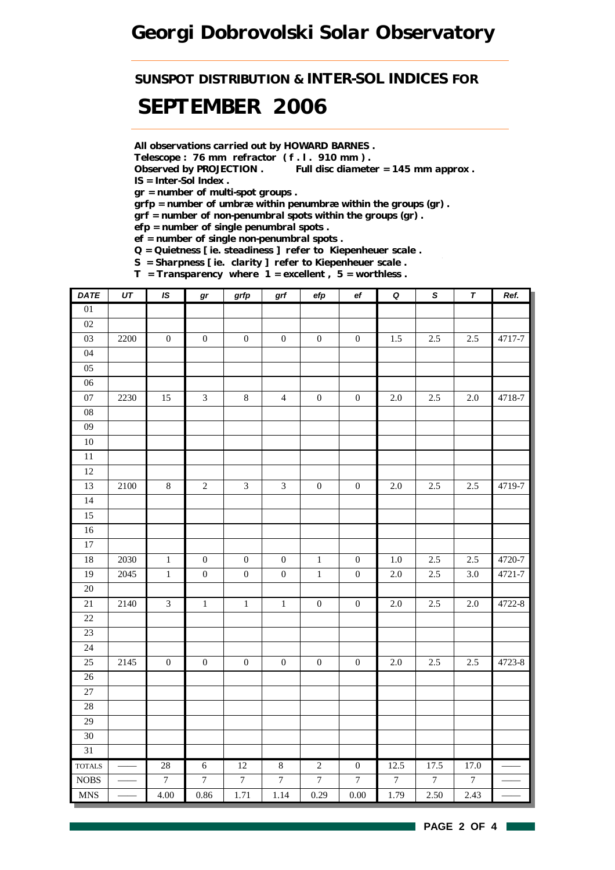## *Georgi Dobrovolski Solar Observatory*

*SUNSPOT DISTRIBUTION & INTER-SOL INDICES FOR*

## *SEPTEMBER 2006*

*All observations carried out by HOWARD BARNES .*

*Telescope : 76 mm refractor ( f . l . 910 mm ) .*

*Observed by PROJECTION . Full disc diameter = 145 mm approx . IS = Inter-Sol Index .*

*gr = number of multi-spot groups .*

*grfp = number of umbræ within penumbræ within the groups (gr) .*

*grf = number of non-penumbral spots within the groups (gr) .*

*efp = number of single penumbral spots .*

*ef = number of single non-penumbral spots .*

*Q = Quietness [ ie. steadiness ] refer to Kiepenheuer scale .*

*S = Sharpness [ ie. clarity ] refer to Kiepenheuer scale . T = Transparency where 1 = excellent , 5 = worthless .*

| <b>DATE</b>     | $\overline{UT}$ | IS               | gr               | grfp                        | $grf$            | $\operatorname{\sf efp}$ | ef               | $\overline{\mathbf{Q}}$ | $\overline{s}$   | $\overline{\tau}$ | Ref.   |
|-----------------|-----------------|------------------|------------------|-----------------------------|------------------|--------------------------|------------------|-------------------------|------------------|-------------------|--------|
| $\overline{01}$ |                 |                  |                  |                             |                  |                          |                  |                         |                  |                   |        |
| 02              |                 |                  |                  |                             |                  |                          |                  |                         |                  |                   |        |
| 03              | 2200            | $\boldsymbol{0}$ | $\boldsymbol{0}$ | $\boldsymbol{0}$            | $\boldsymbol{0}$ | $\boldsymbol{0}$         | $\boldsymbol{0}$ | 1.5                     | 2.5              | 2.5               | 4717-7 |
| 04              |                 |                  |                  |                             |                  |                          |                  |                         |                  |                   |        |
| 05              |                 |                  |                  |                             |                  |                          |                  |                         |                  |                   |        |
| 06              |                 |                  |                  |                             |                  |                          |                  |                         |                  |                   |        |
| 07              | 2230            | 15               | $\sqrt{3}$       | $\,8\,$                     | $\overline{4}$   | $\boldsymbol{0}$         | $\boldsymbol{0}$ | $2.0\,$                 | $2.5\,$          | $2.0\,$           | 4718-7 |
| 08              |                 |                  |                  |                             |                  |                          |                  |                         |                  |                   |        |
| 09              |                 |                  |                  |                             |                  |                          |                  |                         |                  |                   |        |
| $10\,$          |                 |                  |                  |                             |                  |                          |                  |                         |                  |                   |        |
| $\overline{11}$ |                 |                  |                  |                             |                  |                          |                  |                         |                  |                   |        |
| 12              |                 |                  |                  |                             |                  |                          |                  |                         |                  |                   |        |
| 13              | 2100            | $\,8\,$          | $\sqrt{2}$       | $\ensuremath{\mathfrak{Z}}$ | $\mathfrak{Z}$   | $\boldsymbol{0}$         | $\boldsymbol{0}$ | $2.0\,$                 | $2.5\,$          | 2.5               | 4719-7 |
| $\overline{14}$ |                 |                  |                  |                             |                  |                          |                  |                         |                  |                   |        |
| 15              |                 |                  |                  |                             |                  |                          |                  |                         |                  |                   |        |
| 16              |                 |                  |                  |                             |                  |                          |                  |                         |                  |                   |        |
| $\overline{17}$ |                 |                  |                  |                             |                  |                          |                  |                         |                  |                   |        |
| 18              | 2030            | $\mathbf{1}$     | $\boldsymbol{0}$ | $\boldsymbol{0}$            | $\boldsymbol{0}$ | $\mathbf{1}$             | $\boldsymbol{0}$ | $1.0\,$                 | 2.5              | 2.5               | 4720-7 |
| 19              | 2045            | $\,1\,$          | $\boldsymbol{0}$ | $\boldsymbol{0}$            | $\boldsymbol{0}$ | $\,1\,$                  | $\boldsymbol{0}$ | $2.0\,$                 | 2.5              | 3.0               | 4721-7 |
| 20              |                 |                  |                  |                             |                  |                          |                  |                         |                  |                   |        |
| $21\,$          | 2140            | $\mathfrak{Z}$   | $\,1\,$          | $\,1\,$                     | $\,1\,$          | $\boldsymbol{0}$         | $\boldsymbol{0}$ | $2.0\,$                 | 2.5              | $2.0\,$           | 4722-8 |
| 22              |                 |                  |                  |                             |                  |                          |                  |                         |                  |                   |        |
| $\overline{23}$ |                 |                  |                  |                             |                  |                          |                  |                         |                  |                   |        |
| 24              |                 |                  |                  |                             |                  |                          |                  |                         |                  |                   |        |
| 25              | 2145            | $\boldsymbol{0}$ | $\boldsymbol{0}$ | $\boldsymbol{0}$            | $\boldsymbol{0}$ | $\boldsymbol{0}$         | $\boldsymbol{0}$ | $2.0\,$                 | 2.5              | $2.5\,$           | 4723-8 |
| $\overline{26}$ |                 |                  |                  |                             |                  |                          |                  |                         |                  |                   |        |
| 27              |                 |                  |                  |                             |                  |                          |                  |                         |                  |                   |        |
| 28              |                 |                  |                  |                             |                  |                          |                  |                         |                  |                   |        |
| 29              |                 |                  |                  |                             |                  |                          |                  |                         |                  |                   |        |
| 30              |                 |                  |                  |                             |                  |                          |                  |                         |                  |                   |        |
| $\overline{31}$ |                 |                  |                  |                             |                  |                          |                  |                         |                  |                   |        |
| <b>TOTALS</b>   |                 | 28               | $\sqrt{6}$       | $\overline{12}$             | $\sqrt{8}$       | $\overline{2}$           | $\boldsymbol{0}$ | 12.5                    | 17.5             | 17.0              |        |
| $\rm{NOBS}$     |                 | $\boldsymbol{7}$ | $\overline{7}$   | $\boldsymbol{7}$            | $\boldsymbol{7}$ | $\boldsymbol{7}$         | $\boldsymbol{7}$ | $\boldsymbol{7}$        | $\boldsymbol{7}$ | $\boldsymbol{7}$  |        |
| <b>MNS</b>      |                 | 4.00             | 0.86             | 1.71                        | 1.14             | 0.29                     | 0.00             | 1.79                    | 2.50             | 2.43              |        |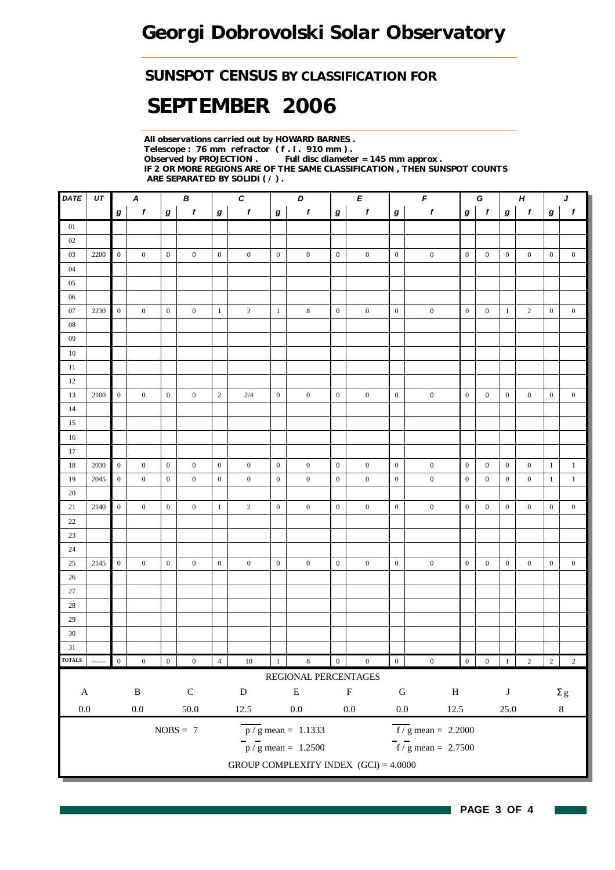### *SUNSPOT CENSUS BY CLASSIFICATION FOR*

# *SEPTEMBER 2006*

*All observations carried out by HOWARD BARNES . Telescope : 76 mm refractor ( f . l . 910 mm ) . Full disc diameter = 145 mm approx . IF 2 OR MORE REGIONS ARE OF THE SAME CLASSIFICATION , THEN SUNSPOT COUNTS ARE SEPARATED BY SOLIDI ( / ) .*

| DATE          | UT   |                  | $\boldsymbol{A}$ |                  | В                | $\boldsymbol{c}$<br>D<br>Е |                           |                  |                                         | $\pmb{\digamma}$<br>G |                  |                  |                                           | $H_{\rm}$        |                  | J                |                  |                |                  |
|---------------|------|------------------|------------------|------------------|------------------|----------------------------|---------------------------|------------------|-----------------------------------------|-----------------------|------------------|------------------|-------------------------------------------|------------------|------------------|------------------|------------------|----------------|------------------|
|               |      | g                | $\mathbf{f}$     | $\bm{g}$         | $\boldsymbol{f}$ | g                          | $\mathbf f$               | $\bm{g}$         | $\boldsymbol{f}$                        | $\boldsymbol{g}$      | f                | $\boldsymbol{g}$ | $\pmb{f}$                                 | $\boldsymbol{g}$ | $\mathbf{f}$     | g                | $\mathbf{f}$     | g              | $\boldsymbol{f}$ |
| 01            |      |                  |                  |                  |                  |                            |                           |                  |                                         |                       |                  |                  |                                           |                  |                  |                  |                  |                |                  |
| 02            |      |                  |                  |                  |                  |                            |                           |                  |                                         |                       |                  |                  |                                           |                  |                  |                  |                  |                |                  |
| 03            | 2200 | $\overline{0}$   | $\overline{0}$   | $\boldsymbol{0}$ | $\overline{0}$   | $\overline{0}$             | $\overline{0}$            | $\overline{0}$   | $\mathbf{0}$                            | $\overline{0}$        | $\mathbf{0}$     | $\mathbf{0}$     | $\boldsymbol{0}$                          | $\mathbf{0}$     | $\mathbf{0}$     | $\mathbf{0}$     | $\overline{0}$   | $\mathbf{0}$   | $\boldsymbol{0}$ |
| 04            |      |                  |                  |                  |                  |                            |                           |                  |                                         |                       |                  |                  |                                           |                  |                  |                  |                  |                |                  |
| 05            |      |                  |                  |                  |                  |                            |                           |                  |                                         |                       |                  |                  |                                           |                  |                  |                  |                  |                |                  |
| 06            |      |                  |                  |                  |                  |                            |                           |                  |                                         |                       |                  |                  |                                           |                  |                  |                  |                  |                |                  |
| 07            | 2230 | $\overline{0}$   | $\overline{0}$   | $\boldsymbol{0}$ | $\overline{0}$   | $\mathbf{1}$               | $\overline{2}$            | $\mathbf{1}$     | 8                                       | $\boldsymbol{0}$      | $\boldsymbol{0}$ | $\mathbf{0}$     | $\boldsymbol{0}$                          | $\mathbf{0}$     | $\mathbf{0}$     | $\mathbf{1}$     | $\overline{2}$   | $\mathbf{0}$   | $\boldsymbol{0}$ |
| $08\,$        |      |                  |                  |                  |                  |                            |                           |                  |                                         |                       |                  |                  |                                           |                  |                  |                  |                  |                |                  |
| 09            |      |                  |                  |                  |                  |                            |                           |                  |                                         |                       |                  |                  |                                           |                  |                  |                  |                  |                |                  |
| 10            |      |                  |                  |                  |                  |                            |                           |                  |                                         |                       |                  |                  |                                           |                  |                  |                  |                  |                |                  |
| 11            |      |                  |                  |                  |                  |                            |                           |                  |                                         |                       |                  |                  |                                           |                  |                  |                  |                  |                |                  |
| 12            |      |                  |                  |                  |                  |                            |                           |                  |                                         |                       |                  |                  |                                           |                  |                  |                  |                  |                |                  |
| 13            | 2100 | $\mathbf{0}$     | $\mathbf{0}$     | $\mathbf{0}$     | $\overline{0}$   | $\overline{2}$             | 2/4                       | $\boldsymbol{0}$ | $\overline{0}$                          | $\mathbf{0}$          | $\boldsymbol{0}$ | $\mathbf{0}$     | $\mathbf{0}$                              | $\boldsymbol{0}$ | $\mathbf{0}$     | $\boldsymbol{0}$ | $\mathbf{0}$     | $\mathbf{0}$   | $\boldsymbol{0}$ |
| 14            |      |                  |                  |                  |                  |                            |                           |                  |                                         |                       |                  |                  |                                           |                  |                  |                  |                  |                |                  |
| 15            |      |                  |                  |                  |                  |                            |                           |                  |                                         |                       |                  |                  |                                           |                  |                  |                  |                  |                |                  |
| 16            |      |                  |                  |                  |                  |                            |                           |                  |                                         |                       |                  |                  |                                           |                  |                  |                  |                  |                |                  |
| 17            |      |                  |                  |                  |                  |                            |                           |                  |                                         |                       |                  |                  |                                           |                  |                  |                  |                  |                |                  |
| 18            | 2030 | $\overline{0}$   | $\boldsymbol{0}$ | $\boldsymbol{0}$ | $\overline{0}$   | $\overline{0}$             | $\boldsymbol{0}$          | $\overline{0}$   | $\overline{0}$                          | $\boldsymbol{0}$      | $\boldsymbol{0}$ | $\mathbf{0}$     | $\boldsymbol{0}$                          | $\mathbf{0}$     | $\overline{0}$   | $\boldsymbol{0}$ | $\boldsymbol{0}$ | $\mathbf{1}$   | $\mathbf{1}$     |
| 19            | 2045 | $\overline{0}$   | $\boldsymbol{0}$ | $\mathbf{0}$     | $\boldsymbol{0}$ | $\mathbf{0}$               | $\boldsymbol{0}$          | $\boldsymbol{0}$ | $\boldsymbol{0}$                        | $\mathbf{0}$          | $\boldsymbol{0}$ | $\overline{0}$   | $\boldsymbol{0}$                          | $\mathbf{0}$     | $\mathbf{0}$     | $\overline{0}$   | $\boldsymbol{0}$ | $\mathbf{1}$   | $\mathbf{1}$     |
| 20            |      |                  |                  |                  |                  |                            |                           |                  |                                         |                       |                  |                  |                                           |                  |                  |                  |                  |                |                  |
| 21            | 2140 | $\overline{0}$   | $\mathbf{0}$     | $\mathbf{0}$     | $\mathbf{0}$     | $\mathbf{1}$               | $\overline{2}$            | $\overline{0}$   | $\boldsymbol{0}$                        | $\mathbf{0}$          | $\boldsymbol{0}$ | $\boldsymbol{0}$ | $\boldsymbol{0}$                          | $\mathbf{0}$     | $\mathbf{0}$     | $\overline{0}$   | $\boldsymbol{0}$ | $\mathbf{0}$   | $\boldsymbol{0}$ |
| 22            |      |                  |                  |                  |                  |                            |                           |                  |                                         |                       |                  |                  |                                           |                  |                  |                  |                  |                |                  |
| 23            |      |                  |                  |                  |                  |                            |                           |                  |                                         |                       |                  |                  |                                           |                  |                  |                  |                  |                |                  |
| 24            |      |                  |                  |                  |                  |                            |                           |                  |                                         |                       |                  |                  |                                           |                  |                  |                  |                  |                |                  |
| 25            | 2145 | $\boldsymbol{0}$ | $\mathbf{0}$     | $\mathbf{0}$     | $\mathbf{0}$     | $\boldsymbol{0}$           | $\mathbf{0}$              | $\boldsymbol{0}$ | $\mathbf{0}$                            | $\mathbf{0}$          | $\mathbf{0}$     | $\boldsymbol{0}$ | $\boldsymbol{0}$                          | $\boldsymbol{0}$ | $\mathbf{0}$     | $\boldsymbol{0}$ | $\boldsymbol{0}$ | $\mathbf{0}$   | $\boldsymbol{0}$ |
| 26            |      |                  |                  |                  |                  |                            |                           |                  |                                         |                       |                  |                  |                                           |                  |                  |                  |                  |                |                  |
| 27            |      |                  |                  |                  |                  |                            |                           |                  |                                         |                       |                  |                  |                                           |                  |                  |                  |                  |                |                  |
| 28            |      |                  |                  |                  |                  |                            |                           |                  |                                         |                       |                  |                  |                                           |                  |                  |                  |                  |                |                  |
| 29            |      |                  |                  |                  |                  |                            |                           |                  |                                         |                       |                  |                  |                                           |                  |                  |                  |                  |                |                  |
| $30\,$        |      |                  |                  |                  |                  |                            |                           |                  |                                         |                       |                  |                  |                                           |                  |                  |                  |                  |                |                  |
| 31            |      |                  |                  |                  |                  |                            |                           |                  |                                         |                       |                  |                  |                                           |                  |                  |                  |                  |                |                  |
| <b>TOTALS</b> |      | $\boldsymbol{0}$ | $\boldsymbol{0}$ | $\boldsymbol{0}$ | $\boldsymbol{0}$ | $\overline{4}$             | $10\,$                    | $\mathbf{1}$     | $\,$ 8 $\,$                             | $\boldsymbol{0}$      | $\boldsymbol{0}$ | $\boldsymbol{0}$ | $\boldsymbol{0}$                          | $\boldsymbol{0}$ | $\boldsymbol{0}$ |                  | $\overline{c}$   | $\overline{2}$ | $\sqrt{2}$       |
|               |      |                  |                  |                  |                  |                            |                           |                  | REGIONAL PERCENTAGES                    |                       |                  |                  |                                           |                  |                  |                  |                  |                |                  |
| $\mathbf A$   |      |                  | $\, {\bf B}$     |                  | ${\bf C}$        |                            | $\label{eq:1} \mathbf{D}$ |                  | ${\bf E}$                               |                       | $\mathbf F$      | ${\bf G}$        | $\, {\rm H}$                              |                  |                  | $\bf J$          |                  |                | $\Sigma$ g       |
|               |      |                  |                  |                  |                  |                            |                           |                  |                                         |                       |                  |                  |                                           |                  |                  |                  |                  |                |                  |
| $0.0\,$       |      |                  | $0.0\,$          |                  | $50.0\,$         |                            | 12.5                      |                  | $0.0\,$                                 |                       | $0.0\,$          | $0.0\,$          | 12.5                                      |                  |                  | $25.0\,$         |                  |                | $\,8\,$          |
|               |      |                  |                  |                  | $NOBS = 7$       |                            |                           |                  | $\overline{p}/g$ mean = 1.1333          |                       |                  |                  | $\overline{f}/\overline{g}$ mean = 2.2000 |                  |                  |                  |                  |                |                  |
|               |      |                  |                  |                  |                  |                            |                           |                  | $\frac{1}{p}$ / g mean = 1.2500         |                       |                  |                  | $f / g$ mean = 2.7500                     |                  |                  |                  |                  |                |                  |
|               |      |                  |                  |                  |                  |                            |                           |                  | GROUP COMPLEXITY INDEX $(GCI) = 4.0000$ |                       |                  |                  |                                           |                  |                  |                  |                  |                |                  |
|               |      |                  |                  |                  |                  |                            |                           |                  |                                         |                       |                  |                  |                                           |                  |                  |                  |                  |                |                  |

H

 $\sim$